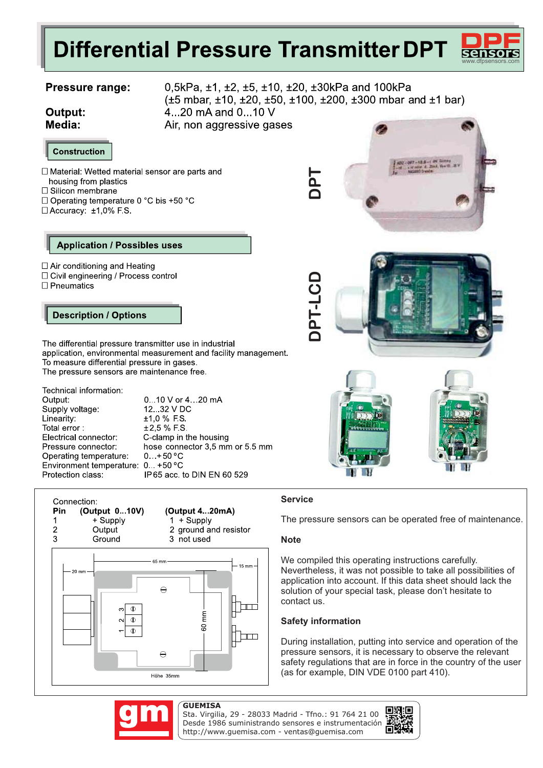# **Differential Pressure Transmitter DPT**

### **Pressure range:**

Output: Media:

0,5kPa, ±1, ±2, ±5, ±10, ±20, ±30kPa and 100kPa (±5 mbar, ±10, ±20, ±50, ±100, ±200, ±300 mbar and ±1 bar) 4...20 mA and 0...10 V Air, non aggressive gases



□ Material: Wetted material sensor are parts and housing from plastics

- □ Silicon membrane
- □ Operating temperature 0 °C bis +50 °C
- □ Accuracy: ±1,0% F.S.

#### **Application / Possibles uses**

- $\Box$  Air conditioning and Heating
- □ Civil engineering / Process control
- $\Box$  Pneumatics

### **Description / Options**

The differential pressure transmitter use in industrial To measure differential pressure in gases. The pressure sensors are maintenance free.

Technical information: Output: Supply voltage: Linearity: Total error: Electrical connector: Pressure connector: Operating temperature: Environment temperature: 0...+50 °C Protection class:

0.10 V or 4...20 mA 12...32 V DC  $±1.0 \% FS$  $±2.5%$  FS C-clamp in the housing hose connector 3,5 mm or 5.5 mm  $0. +50 °C$ IP65 acc. to DIN EN 60 529



(Output 4...20mA)  $1 +$ Supply 2 ground and resistor

3 not used





### **Service**

The pressure sensors can be operated free of maintenance.

#### **Note**

We compiled this operating instructions carefully. Nevertheless, it was not possible to take all possibilities of application into account. If this data sheet should lack the solution of your special task, please don't hesitate to contact us.

### **Safety information**

During installation, putting into service and operation of the pressure sensors, it is necessary to observe the relevant safety regulations that are in force in the country of the user

Sta. Virgilia, 29 - 28033 Madrid - Tfno.: 91 764 21 00 Desde 1986 suministrando sensores e instrumentación. http://www.guemisa.com - ventas@guemisa.com





www.dfpsensors.com